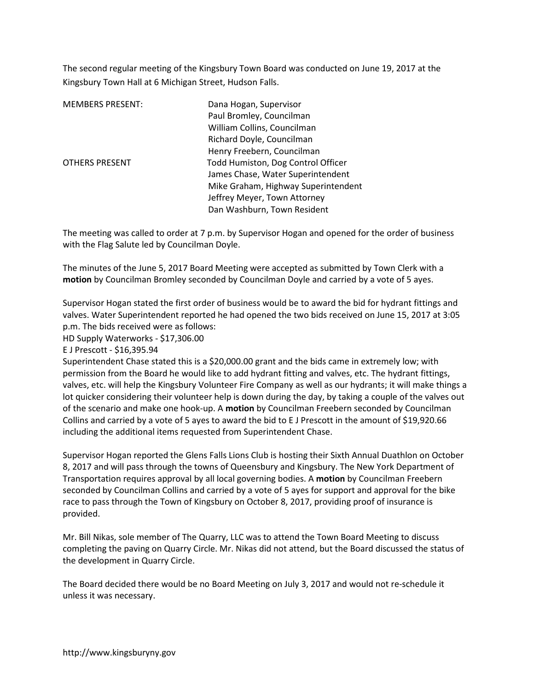The second regular meeting of the Kingsbury Town Board was conducted on June 19, 2017 at the Kingsbury Town Hall at 6 Michigan Street, Hudson Falls.

| <b>MEMBERS PRESENT:</b> | Dana Hogan, Supervisor              |
|-------------------------|-------------------------------------|
|                         | Paul Bromley, Councilman            |
|                         | William Collins, Councilman         |
|                         | Richard Doyle, Councilman           |
|                         | Henry Freebern, Councilman          |
| <b>OTHERS PRESENT</b>   | Todd Humiston, Dog Control Officer  |
|                         | James Chase, Water Superintendent   |
|                         | Mike Graham, Highway Superintendent |
|                         | Jeffrey Meyer, Town Attorney        |
|                         | Dan Washburn, Town Resident         |

The meeting was called to order at 7 p.m. by Supervisor Hogan and opened for the order of business with the Flag Salute led by Councilman Doyle.

The minutes of the June 5, 2017 Board Meeting were accepted as submitted by Town Clerk with a **motion** by Councilman Bromley seconded by Councilman Doyle and carried by a vote of 5 ayes.

Supervisor Hogan stated the first order of business would be to award the bid for hydrant fittings and valves. Water Superintendent reported he had opened the two bids received on June 15, 2017 at 3:05 p.m. The bids received were as follows:

HD Supply Waterworks - \$17,306.00

E J Prescott - \$16,395.94

Superintendent Chase stated this is a \$20,000.00 grant and the bids came in extremely low; with permission from the Board he would like to add hydrant fitting and valves, etc. The hydrant fittings, valves, etc. will help the Kingsbury Volunteer Fire Company as well as our hydrants; it will make things a lot quicker considering their volunteer help is down during the day, by taking a couple of the valves out of the scenario and make one hook-up. A **motion** by Councilman Freebern seconded by Councilman Collins and carried by a vote of 5 ayes to award the bid to E J Prescott in the amount of \$19,920.66 including the additional items requested from Superintendent Chase.

Supervisor Hogan reported the Glens Falls Lions Club is hosting their Sixth Annual Duathlon on October 8, 2017 and will pass through the towns of Queensbury and Kingsbury. The New York Department of Transportation requires approval by all local governing bodies. A **motion** by Councilman Freebern seconded by Councilman Collins and carried by a vote of 5 ayes for support and approval for the bike race to pass through the Town of Kingsbury on October 8, 2017, providing proof of insurance is provided.

Mr. Bill Nikas, sole member of The Quarry, LLC was to attend the Town Board Meeting to discuss completing the paving on Quarry Circle. Mr. Nikas did not attend, but the Board discussed the status of the development in Quarry Circle.

The Board decided there would be no Board Meeting on July 3, 2017 and would not re-schedule it unless it was necessary.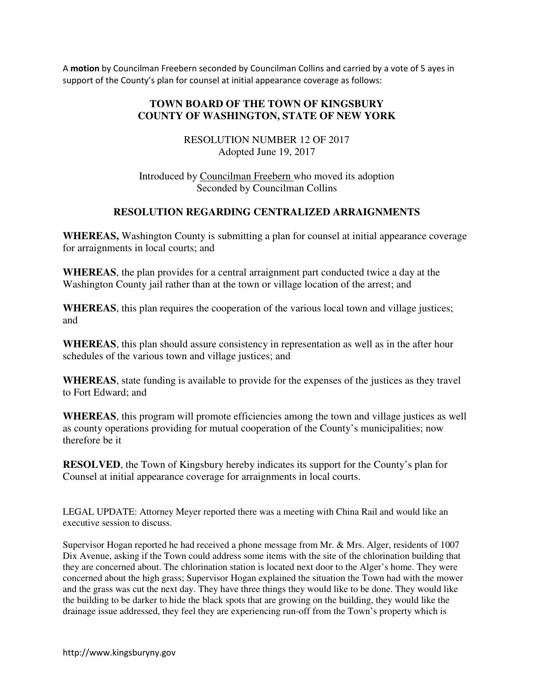A **motion** by Councilman Freebern seconded by Councilman Collins and carried by a vote of 5 ayes in support of the County's plan for counsel at initial appearance coverage as follows:

# **TOWN BOARD OF THE TOWN OF KINGSBURY COUNTY OF WASHINGTON, STATE OF NEW YORK**

RESOLUTION NUMBER 12 OF 2017 Adopted June 19, 2017

Introduced by Councilman Freebern who moved its adoption Seconded by Councilman Collins

## **RESOLUTION REGARDING CENTRALIZED ARRAIGNMENTS**

**WHEREAS,** Washington County is submitting a plan for counsel at initial appearance coverage for arraignments in local courts; and

**WHEREAS**, the plan provides for a central arraignment part conducted twice a day at the Washington County jail rather than at the town or village location of the arrest; and

**WHEREAS**, this plan requires the cooperation of the various local town and village justices; and

**WHEREAS**, this plan should assure consistency in representation as well as in the after hour schedules of the various town and village justices; and

**WHEREAS**, state funding is available to provide for the expenses of the justices as they travel to Fort Edward; and

**WHEREAS**, this program will promote efficiencies among the town and village justices as well as county operations providing for mutual cooperation of the County's municipalities; now therefore be it

**RESOLVED**, the Town of Kingsbury hereby indicates its support for the County's plan for Counsel at initial appearance coverage for arraignments in local courts.

LEGAL UPDATE: Attorney Meyer reported there was a meeting with China Rail and would like an executive session to discuss.

Supervisor Hogan reported he had received a phone message from Mr. & Mrs. Alger, residents of 1007 Dix Avenue, asking if the Town could address some items with the site of the chlorination building that they are concerned about. The chlorination station is located next door to the Alger's home. They were concerned about the high grass; Supervisor Hogan explained the situation the Town had with the mower and the grass was cut the next day. They have three things they would like to be done. They would like the building to be darker to hide the black spots that are growing on the building, they would like the drainage issue addressed, they feel they are experiencing run-off from the Town's property which is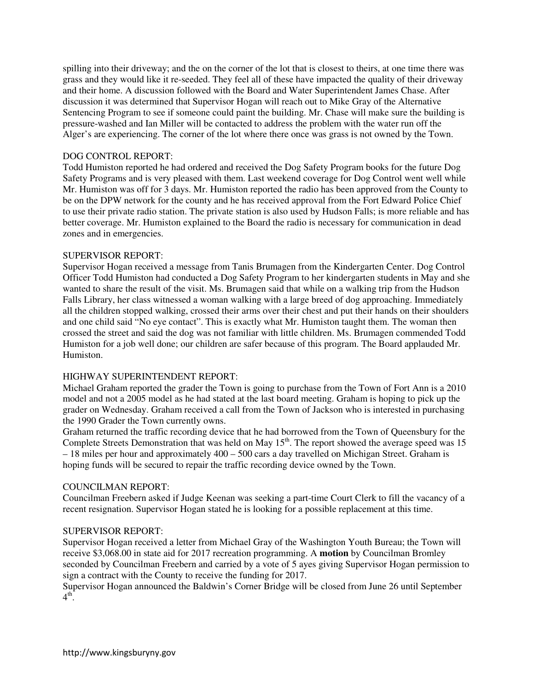spilling into their driveway; and the on the corner of the lot that is closest to theirs, at one time there was grass and they would like it re-seeded. They feel all of these have impacted the quality of their driveway and their home. A discussion followed with the Board and Water Superintendent James Chase. After discussion it was determined that Supervisor Hogan will reach out to Mike Gray of the Alternative Sentencing Program to see if someone could paint the building. Mr. Chase will make sure the building is pressure-washed and Ian Miller will be contacted to address the problem with the water run off the Alger's are experiencing. The corner of the lot where there once was grass is not owned by the Town.

### DOG CONTROL REPORT:

Todd Humiston reported he had ordered and received the Dog Safety Program books for the future Dog Safety Programs and is very pleased with them. Last weekend coverage for Dog Control went well while Mr. Humiston was off for 3 days. Mr. Humiston reported the radio has been approved from the County to be on the DPW network for the county and he has received approval from the Fort Edward Police Chief to use their private radio station. The private station is also used by Hudson Falls; is more reliable and has better coverage. Mr. Humiston explained to the Board the radio is necessary for communication in dead zones and in emergencies.

#### SUPERVISOR REPORT:

Supervisor Hogan received a message from Tanis Brumagen from the Kindergarten Center. Dog Control Officer Todd Humiston had conducted a Dog Safety Program to her kindergarten students in May and she wanted to share the result of the visit. Ms. Brumagen said that while on a walking trip from the Hudson Falls Library, her class witnessed a woman walking with a large breed of dog approaching. Immediately all the children stopped walking, crossed their arms over their chest and put their hands on their shoulders and one child said "No eye contact". This is exactly what Mr. Humiston taught them. The woman then crossed the street and said the dog was not familiar with little children. Ms. Brumagen commended Todd Humiston for a job well done; our children are safer because of this program. The Board applauded Mr. Humiston.

#### HIGHWAY SUPERINTENDENT REPORT:

Michael Graham reported the grader the Town is going to purchase from the Town of Fort Ann is a 2010 model and not a 2005 model as he had stated at the last board meeting. Graham is hoping to pick up the grader on Wednesday. Graham received a call from the Town of Jackson who is interested in purchasing the 1990 Grader the Town currently owns.

Graham returned the traffic recording device that he had borrowed from the Town of Queensbury for the Complete Streets Demonstration that was held on May  $15<sup>th</sup>$ . The report showed the average speed was 15 – 18 miles per hour and approximately 400 – 500 cars a day travelled on Michigan Street. Graham is hoping funds will be secured to repair the traffic recording device owned by the Town.

#### COUNCILMAN REPORT:

Councilman Freebern asked if Judge Keenan was seeking a part-time Court Clerk to fill the vacancy of a recent resignation. Supervisor Hogan stated he is looking for a possible replacement at this time.

#### SUPERVISOR REPORT:

Supervisor Hogan received a letter from Michael Gray of the Washington Youth Bureau; the Town will receive \$3,068.00 in state aid for 2017 recreation programming. A **motion** by Councilman Bromley seconded by Councilman Freebern and carried by a vote of 5 ayes giving Supervisor Hogan permission to sign a contract with the County to receive the funding for 2017.

Supervisor Hogan announced the Baldwin's Corner Bridge will be closed from June 26 until September  $4^{\text{th}}$ .